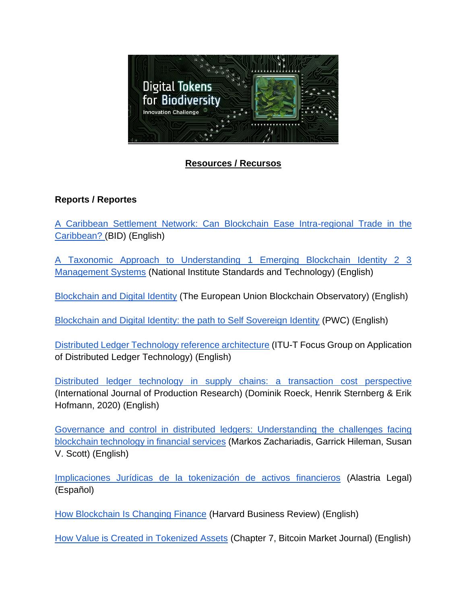

# **Resources / Recursos**

# **Reports / Reportes**

[A Caribbean Settlement Network: Can Blockchain Ease Intra-regional Trade in the](https://publications.iadb.org/en/caribbean-settlement-network-can-blockchain-ease-intra-regional-trade-caribbean)  [Caribbean? \(](https://publications.iadb.org/en/caribbean-settlement-network-can-blockchain-ease-intra-regional-trade-caribbean)BID) (English)

[A Taxonomic Approach to Understanding 1 Emerging Blockchain Identity 2 3](https://live-lacchain.pantheonsite.io/sites/default/files/2020-06/AI_MA_NIST%20-%20Taxonomic%20approach%202019_compressed_0.pdf)  [Management Systems](https://live-lacchain.pantheonsite.io/sites/default/files/2020-06/AI_MA_NIST%20-%20Taxonomic%20approach%202019_compressed_0.pdf) (National Institute Standards and Technology) (English)

[Blockchain and Digital Identity](https://live-lacchain.pantheonsite.io/sites/default/files/2020-06/AI_MA_EU%20-%20Blockchain%20and%20digital%20identity_compressed_0.pdf) (The European Union Blockchain Observatory) (English)

[Blockchain and Digital Identity: the path to Self Sovereign Identity](https://live-lacchain.pantheonsite.io/sites/default/files/2020-06/AI_MA_Thr%20path%20to%20self%20sovereign%20idenityt_compressed_0.pdf) (PWC) (English)

[Distributed Ledger Technology reference architecture](https://live-lacchain.pantheonsite.io/sites/default/files/2020-06/ITU_LACChain_paper_compressed_0.pdf) (ITU-T Focus Group on Application of Distributed Ledger Technology) (English)

[Distributed ledger technology in supply chains: a transaction cost perspective](https://www.tandfonline.com/doi/full/10.1080/00207543.2019.1657247)  (International Journal of Production Research) (Dominik Roeck, Henrik Sternberg & Erik Hofmann, 2020) (English)

Governance and control in distributed [ledgers: Understanding the challenges facing](https://www.sciencedirect.com/science/article/pii/S1471772719300284)  [blockchain technology in financial services](https://www.sciencedirect.com/science/article/pii/S1471772719300284) (Markos Zachariadis, Garrick Hileman, Susan V. Scott) (English)

[Implicaciones Jurídicas de la tokenización de activos financieros](https://live-lacchain.pantheonsite.io/sites/default/files/2020-06/Alastria%20Legal%2001-O_compressed.pdf) (Alastria Legal) (Español)

[How Blockchain Is Changing Finance](https://capital.report/Resources/Whitepapers/40fc8a6a-cdbd-47e6-83f6-74e2a9d36ccc_finance_topic2_source2.pdf) (Harvard Business Review) (English)

[How Value is Created in Tokenized Assets](https://books.google.es/books?hl=en&lr=&id=07SKDwAAQBAJ&oi=fnd&pg=PA125&dq=digital+tokens+harvard&ots=mRVooedp89&sig=gEJ1M9mSrWm8Rxik2QMyrdu8RF0#v=onepage&q=digital%20tokens%20harvard&f=false) (Chapter 7, Bitcoin Market Journal) (English)